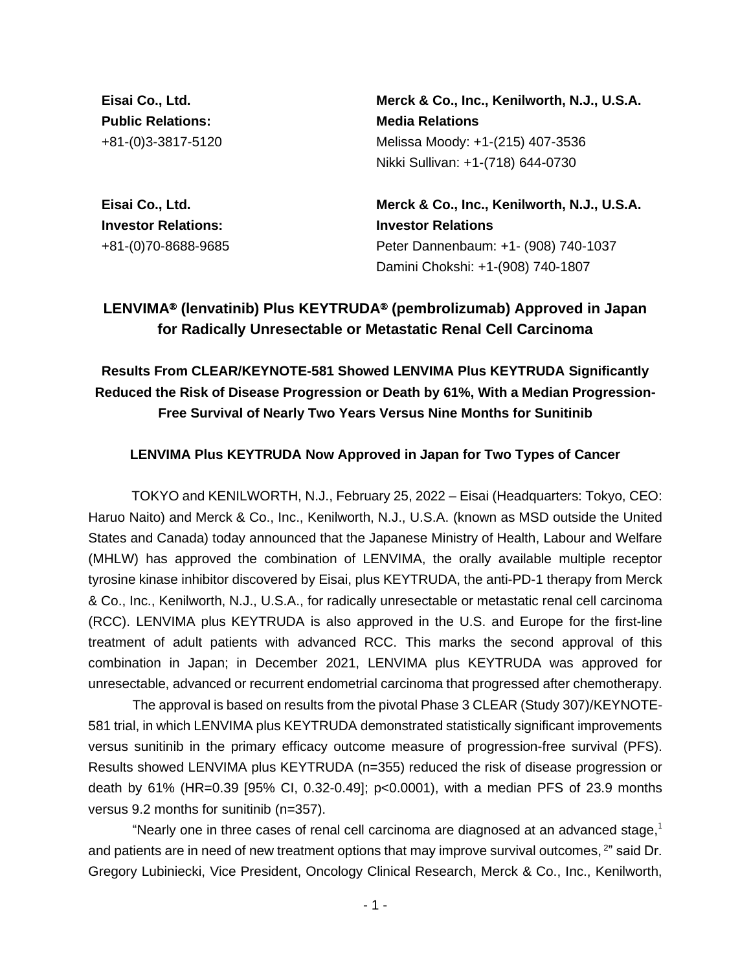**Eisai Co., Ltd. Public Relations:** +81-(0)3-3817-5120

**Eisai Co., Ltd. Investor Relations:**  +81-(0)70-8688-9685 **Merck & Co., Inc., Kenilworth, N.J., U.S.A. Media Relations** Melissa Moody: +1-(215) 407-3536 Nikki Sullivan: +1-(718) 644-0730

**Merck & Co., Inc., Kenilworth, N.J., U.S.A. Investor Relations** Peter Dannenbaum: +1- (908) 740-1037 Damini Chokshi: +1-(908) 740-1807

# **LENVIMA**® **(lenvatinib) Plus KEYTRUDA**® **(pembrolizumab) Approved in Japan for Radically Unresectable or Metastatic Renal Cell Carcinoma**

# **Results From CLEAR/KEYNOTE-581 Showed LENVIMA Plus KEYTRUDA Significantly Reduced the Risk of Disease Progression or Death by 61%, With a Median Progression-Free Survival of Nearly Two Years Versus Nine Months for Sunitinib**

# **LENVIMA Plus KEYTRUDA Now Approved in Japan for Two Types of Cancer**

TOKYO and KENILWORTH, N.J., February 25, 2022 – Eisai (Headquarters: Tokyo, CEO: Haruo Naito) and Merck & Co., Inc., Kenilworth, N.J., U.S.A. (known as MSD outside the United States and Canada) today announced that the Japanese Ministry of Health, Labour and Welfare (MHLW) has approved the combination of LENVIMA, the orally available multiple receptor tyrosine kinase inhibitor discovered by Eisai, plus KEYTRUDA, the anti-PD-1 therapy from Merck & Co., Inc., Kenilworth, N.J., U.S.A., for radically unresectable or metastatic renal cell carcinoma (RCC). LENVIMA plus KEYTRUDA is also approved in the U.S. and Europe for the first-line treatment of adult patients with advanced RCC. This marks the second approval of this combination in Japan; in December 2021, LENVIMA plus KEYTRUDA was approved for unresectable, advanced or recurrent endometrial carcinoma that progressed after chemotherapy.

The approval is based on results from the pivotal Phase 3 CLEAR (Study 307)/KEYNOTE-581 trial, in which LENVIMA plus KEYTRUDA demonstrated statistically significant improvements versus sunitinib in the primary efficacy outcome measure of progression-free survival (PFS). Results showed LENVIMA plus KEYTRUDA (n=355) reduced the risk of disease progression or death by 61% (HR=0.39 [95% CI, 0.32-0.49]; p<0.0001), with a median PFS of 23.9 months versus 9.2 months for sunitinib (n=357).

"Nearly one in three cases of renal cell carcinoma are diagnosed at an advanced stage,<sup>1</sup> and patients are in need of new treatment options that may improve survival outcomes, <sup>2</sup>" said Dr. Gregory Lubiniecki, Vice President, Oncology Clinical Research, Merck & Co., Inc., Kenilworth,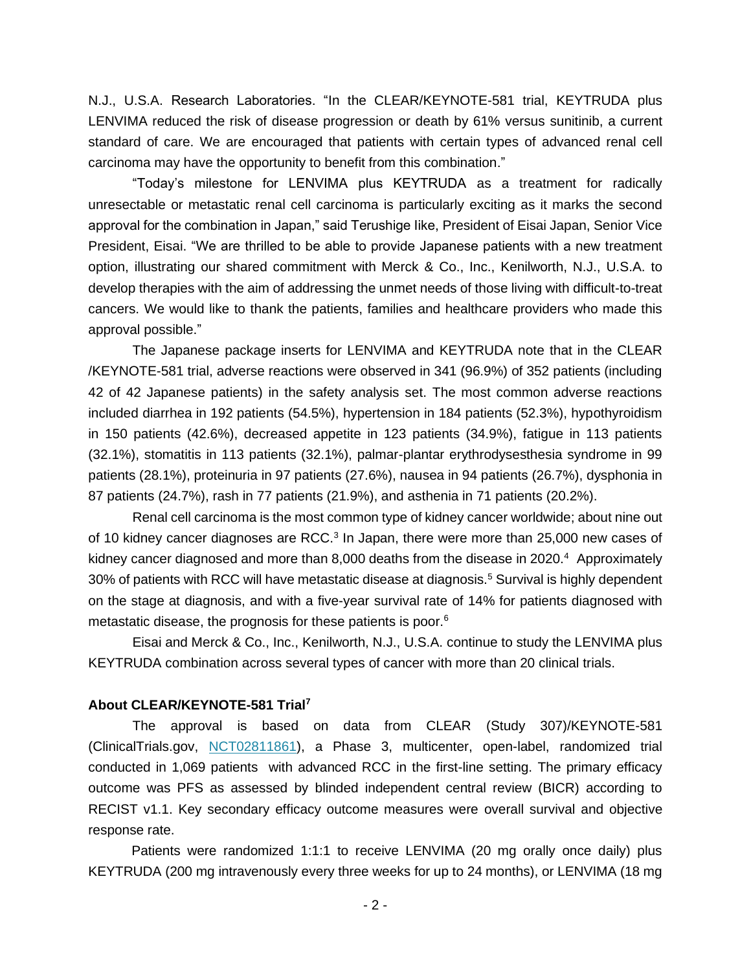N.J., U.S.A. Research Laboratories. "In the CLEAR/KEYNOTE-581 trial, KEYTRUDA plus LENVIMA reduced the risk of disease progression or death by 61% versus sunitinib, a current standard of care. We are encouraged that patients with certain types of advanced renal cell carcinoma may have the opportunity to benefit from this combination."

"Today's milestone for LENVIMA plus KEYTRUDA as a treatment for radically unresectable or metastatic renal cell carcinoma is particularly exciting as it marks the second approval for the combination in Japan," said Terushige Iike, President of Eisai Japan, Senior Vice President, Eisai. "We are thrilled to be able to provide Japanese patients with a new treatment option, illustrating our shared commitment with Merck & Co., Inc., Kenilworth, N.J., U.S.A. to develop therapies with the aim of addressing the unmet needs of those living with difficult-to-treat cancers. We would like to thank the patients, families and healthcare providers who made this approval possible."

The Japanese package inserts for LENVIMA and KEYTRUDA note that in the CLEAR /KEYNOTE-581 trial, adverse reactions were observed in 341 (96.9%) of 352 patients (including 42 of 42 Japanese patients) in the safety analysis set. The most common adverse reactions included diarrhea in 192 patients (54.5%), hypertension in 184 patients (52.3%), hypothyroidism in 150 patients (42.6%), decreased appetite in 123 patients (34.9%), fatigue in 113 patients (32.1%), stomatitis in 113 patients (32.1%), palmar-plantar erythrodysesthesia syndrome in 99 patients (28.1%), proteinuria in 97 patients (27.6%), nausea in 94 patients (26.7%), dysphonia in 87 patients (24.7%), rash in 77 patients (21.9%), and asthenia in 71 patients (20.2%).

Renal cell carcinoma is the most common type of kidney cancer worldwide; about nine out of 10 kidney cancer diagnoses are RCC. $3$  In Japan, there were more than 25,000 new cases of kidney cancer diagnosed and more than  $8,000$  deaths from the disease in 2020.<sup>4</sup> Approximately 30% of patients with RCC will have metastatic disease at diagnosis.<sup>5</sup> Survival is highly dependent on the stage at diagnosis, and with a five-year survival rate of 14% for patients diagnosed with metastatic disease, the prognosis for these patients is poor.<sup>6</sup>

Eisai and Merck & Co., Inc., Kenilworth, N.J., U.S.A. continue to study the LENVIMA plus KEYTRUDA combination across several types of cancer with more than 20 clinical trials.

## **About CLEAR/KEYNOTE-581 Trial<sup>7</sup>**

The approval is based on data from CLEAR (Study 307)/KEYNOTE-581 (ClinicalTrials.gov, [NCT02811861\)](https://www.clinicaltrials.gov/ct2/show/NCT02811861), a Phase 3, multicenter, open-label, randomized trial conducted in 1,069 patients with advanced RCC in the first-line setting. The primary efficacy outcome was PFS as assessed by blinded independent central review (BICR) according to RECIST v1.1. Key secondary efficacy outcome measures were overall survival and objective response rate.

Patients were randomized 1:1:1 to receive LENVIMA (20 mg orally once daily) plus KEYTRUDA (200 mg intravenously every three weeks for up to 24 months), or LENVIMA (18 mg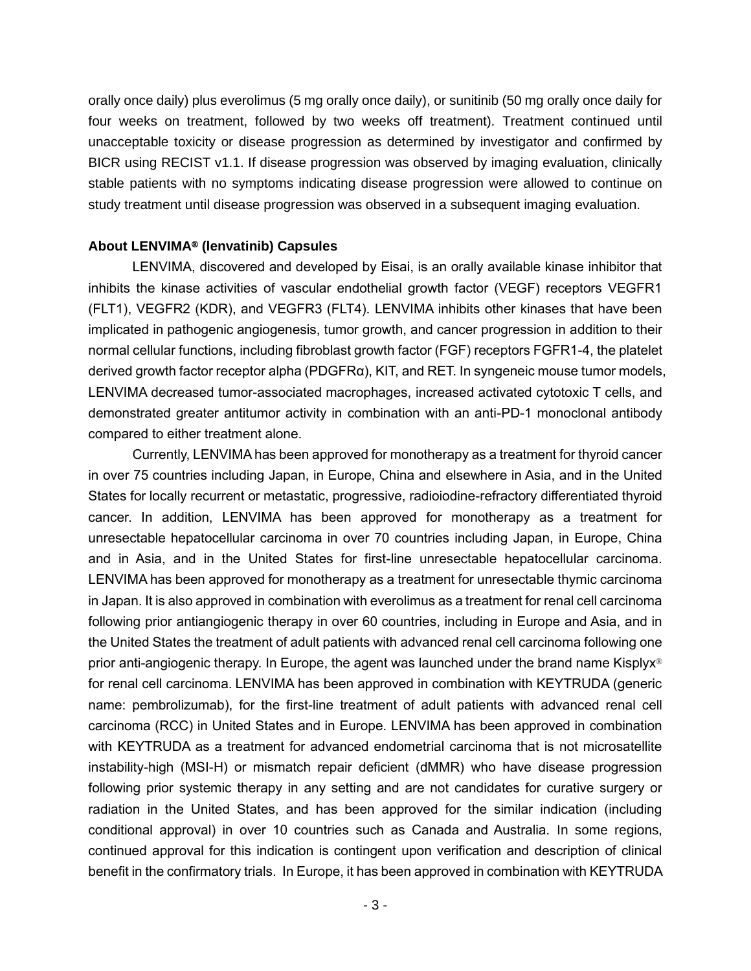orally once daily) plus everolimus (5 mg orally once daily), or sunitinib (50 mg orally once daily for four weeks on treatment, followed by two weeks off treatment). Treatment continued until unacceptable toxicity or disease progression as determined by investigator and confirmed by BICR using RECIST v1.1. If disease progression was observed by imaging evaluation, clinically stable patients with no symptoms indicating disease progression were allowed to continue on study treatment until disease progression was observed in a subsequent imaging evaluation.

# **About LENVIMA**® **(lenvatinib) Capsules**

LENVIMA, discovered and developed by Eisai, is an orally available kinase inhibitor that inhibits the kinase activities of vascular endothelial growth factor (VEGF) receptors VEGFR1 (FLT1), VEGFR2 (KDR), and VEGFR3 (FLT4). LENVIMA inhibits other kinases that have been implicated in pathogenic angiogenesis, tumor growth, and cancer progression in addition to their normal cellular functions, including fibroblast growth factor (FGF) receptors FGFR1-4, the platelet derived growth factor receptor alpha (PDGFRα), KIT, and RET. In syngeneic mouse tumor models, LENVIMA decreased tumor-associated macrophages, increased activated cytotoxic T cells, and demonstrated greater antitumor activity in combination with an anti-PD-1 monoclonal antibody compared to either treatment alone.

Currently, LENVIMA has been approved for monotherapy as a treatment for thyroid cancer in over 75 countries including Japan, in Europe, China and elsewhere in Asia, and in the United States for locally recurrent or metastatic, progressive, radioiodine-refractory differentiated thyroid cancer. In addition, LENVIMA has been approved for monotherapy as a treatment for unresectable hepatocellular carcinoma in over 70 countries including Japan, in Europe, China and in Asia, and in the United States for first-line unresectable hepatocellular carcinoma. LENVIMA has been approved for monotherapy as a treatment for unresectable thymic carcinoma in Japan. It is also approved in combination with everolimus as a treatment for renal cell carcinoma following prior antiangiogenic therapy in over 60 countries, including in Europe and Asia, and in the United States the treatment of adult patients with advanced renal cell carcinoma following one prior anti-angiogenic therapy. In Europe, the agent was launched under the brand name Kisplyx® for renal cell carcinoma. LENVIMA has been approved in combination with KEYTRUDA (generic name: pembrolizumab), for the first-line treatment of adult patients with advanced renal cell carcinoma (RCC) in United States and in Europe. LENVIMA has been approved in combination with KEYTRUDA as a treatment for advanced endometrial carcinoma that is not microsatellite instability-high (MSI-H) or mismatch repair deficient (dMMR) who have disease progression following prior systemic therapy in any setting and are not candidates for curative surgery or radiation in the United States, and has been approved for the similar indication (including conditional approval) in over 10 countries such as Canada and Australia. In some regions, continued approval for this indication is contingent upon verification and description of clinical benefit in the confirmatory trials. In Europe, it has been approved in combination with KEYTRUDA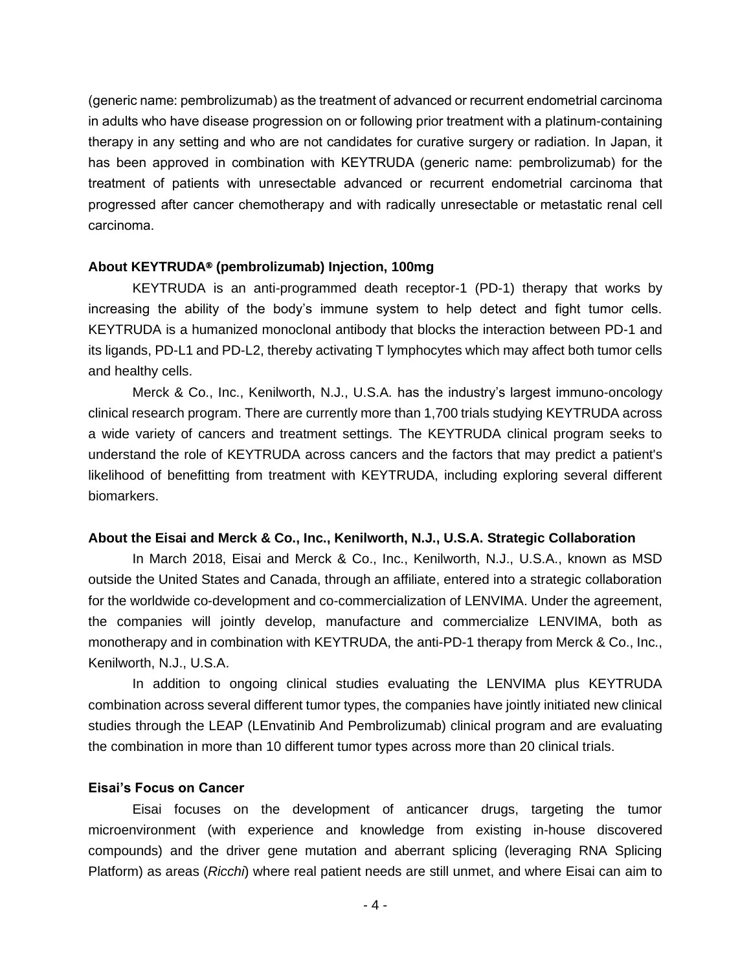(generic name: pembrolizumab) as the treatment of advanced or recurrent endometrial carcinoma in adults who have disease progression on or following prior treatment with a platinum-containing therapy in any setting and who are not candidates for curative surgery or radiation. In Japan, it has been approved in combination with KEYTRUDA (generic name: pembrolizumab) for the treatment of patients with unresectable advanced or recurrent endometrial carcinoma that progressed after cancer chemotherapy and with radically unresectable or metastatic renal cell carcinoma.

## **About KEYTRUDA**® **(pembrolizumab) Injection, 100mg**

KEYTRUDA is an anti-programmed death receptor-1 (PD-1) therapy that works by increasing the ability of the body's immune system to help detect and fight tumor cells. KEYTRUDA is a humanized monoclonal antibody that blocks the interaction between PD-1 and its ligands, PD-L1 and PD-L2, thereby activating T lymphocytes which may affect both tumor cells and healthy cells.

Merck & Co., Inc., Kenilworth, N.J., U.S.A. has the industry's largest immuno-oncology clinical research program. There are currently more than 1,700 trials studying KEYTRUDA across a wide variety of cancers and treatment settings. The KEYTRUDA clinical program seeks to understand the role of KEYTRUDA across cancers and the factors that may predict a patient's likelihood of benefitting from treatment with KEYTRUDA, including exploring several different biomarkers.

#### **About the Eisai and Merck & Co., Inc., Kenilworth, N.J., U.S.A. Strategic Collaboration**

In March 2018, Eisai and Merck & Co., Inc., Kenilworth, N.J., U.S.A., known as MSD outside the United States and Canada, through an affiliate, entered into a strategic collaboration for the worldwide co-development and co-commercialization of LENVIMA. Under the agreement, the companies will jointly develop, manufacture and commercialize LENVIMA, both as monotherapy and in combination with KEYTRUDA, the anti-PD-1 therapy from Merck & Co., Inc., Kenilworth, N.J., U.S.A.

In addition to ongoing clinical studies evaluating the LENVIMA plus KEYTRUDA combination across several different tumor types, the companies have jointly initiated new clinical studies through the LEAP (LEnvatinib And Pembrolizumab) clinical program and are evaluating the combination in more than 10 different tumor types across more than 20 clinical trials.

# **Eisai's Focus on Cancer**

Eisai focuses on the development of anticancer drugs, targeting the tumor microenvironment (with experience and knowledge from existing in-house discovered compounds) and the driver gene mutation and aberrant splicing (leveraging RNA Splicing Platform) as areas (*Ricchi*) where real patient needs are still unmet, and where Eisai can aim to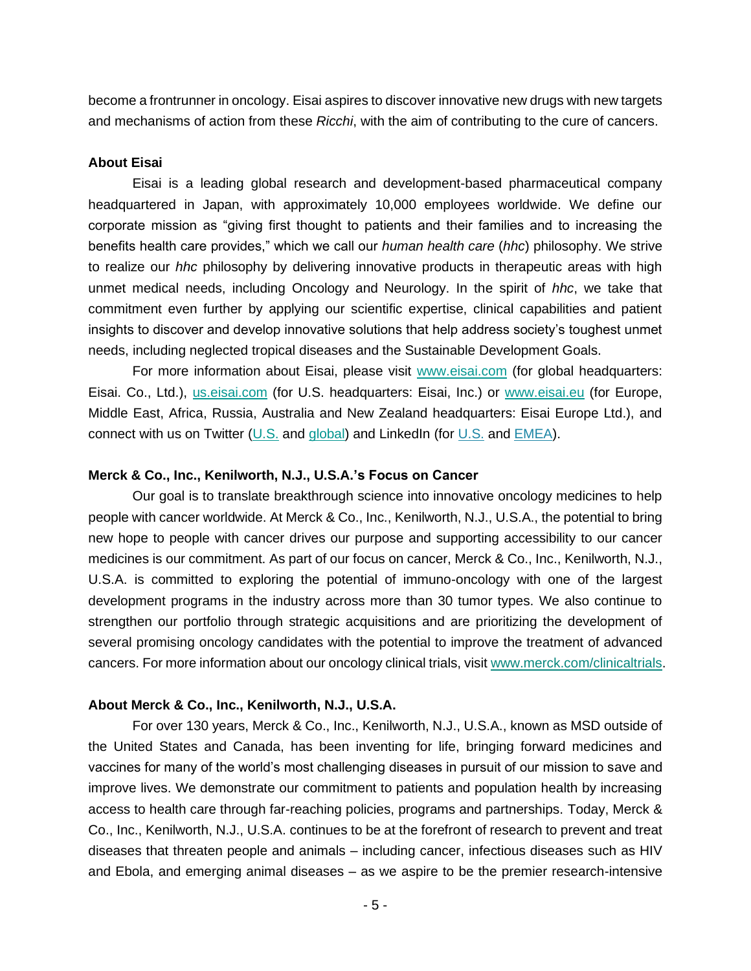become a frontrunner in oncology. Eisai aspires to discover innovative new drugs with new targets and mechanisms of action from these *Ricchi*, with the aim of contributing to the cure of cancers.

## **About Eisai**

Eisai is a leading global research and development-based pharmaceutical company headquartered in Japan, with approximately 10,000 employees worldwide. We define our corporate mission as "giving first thought to patients and their families and to increasing the benefits health care provides," which we call our *human health care* (*hhc*) philosophy. We strive to realize our *hhc* philosophy by delivering innovative products in therapeutic areas with high unmet medical needs, including Oncology and Neurology. In the spirit of *hhc*, we take that commitment even further by applying our scientific expertise, clinical capabilities and patient insights to discover and develop innovative solutions that help address society's toughest unmet needs, including neglected tropical diseases and the Sustainable Development Goals.

For more information about Eisai, please visit [www.eisai.com](http://www.eisai.com/) (for global headquarters: Eisai. Co., Ltd.), [us.eisai.com](http://us.eisai.com/) (for U.S. headquarters: Eisai, Inc.) or [www.eisai.eu](http://www.eisai.co.uk/) (for Europe, Middle East, Africa, Russia, Australia and New Zealand headquarters: Eisai Europe Ltd.), and connect with us on Twitter [\(U.S.](https://twitter.com/eisaius) and [global\)](https://twitter.com/eisai_sdgs) and LinkedIn (for [U.S.](https://www.linkedin.com/company/eisai/) and  $EMEA$ ).

## **Merck & Co., Inc., Kenilworth, N.J., U.S.A.'s Focus on Cancer**

Our goal is to translate breakthrough science into innovative oncology medicines to help people with cancer worldwide. At Merck & Co., Inc., Kenilworth, N.J., U.S.A., the potential to bring new hope to people with cancer drives our purpose and supporting accessibility to our cancer medicines is our commitment. As part of our focus on cancer, Merck & Co., Inc., Kenilworth, N.J., U.S.A. is committed to exploring the potential of immuno-oncology with one of the largest development programs in the industry across more than 30 tumor types. We also continue to strengthen our portfolio through strategic acquisitions and are prioritizing the development of several promising oncology candidates with the potential to improve the treatment of advanced cancers. For more information about our oncology clinical trials, visit [www.merck.com/clinicaltrials.](http://www.merck.com/clinicaltrials)

# **About Merck & Co., Inc., Kenilworth, N.J., U.S.A.**

For over 130 years, Merck & Co., Inc., Kenilworth, N.J., U.S.A., known as MSD outside of the United States and Canada, has been inventing for life, bringing forward medicines and vaccines for many of the world's most challenging diseases in pursuit of our mission to save and improve lives. We demonstrate our commitment to patients and population health by increasing access to health care through far-reaching policies, programs and partnerships. Today, Merck & Co., Inc., Kenilworth, N.J., U.S.A. continues to be at the forefront of research to prevent and treat diseases that threaten people and animals – including cancer, infectious diseases such as HIV and Ebola, and emerging animal diseases – as we aspire to be the premier research-intensive